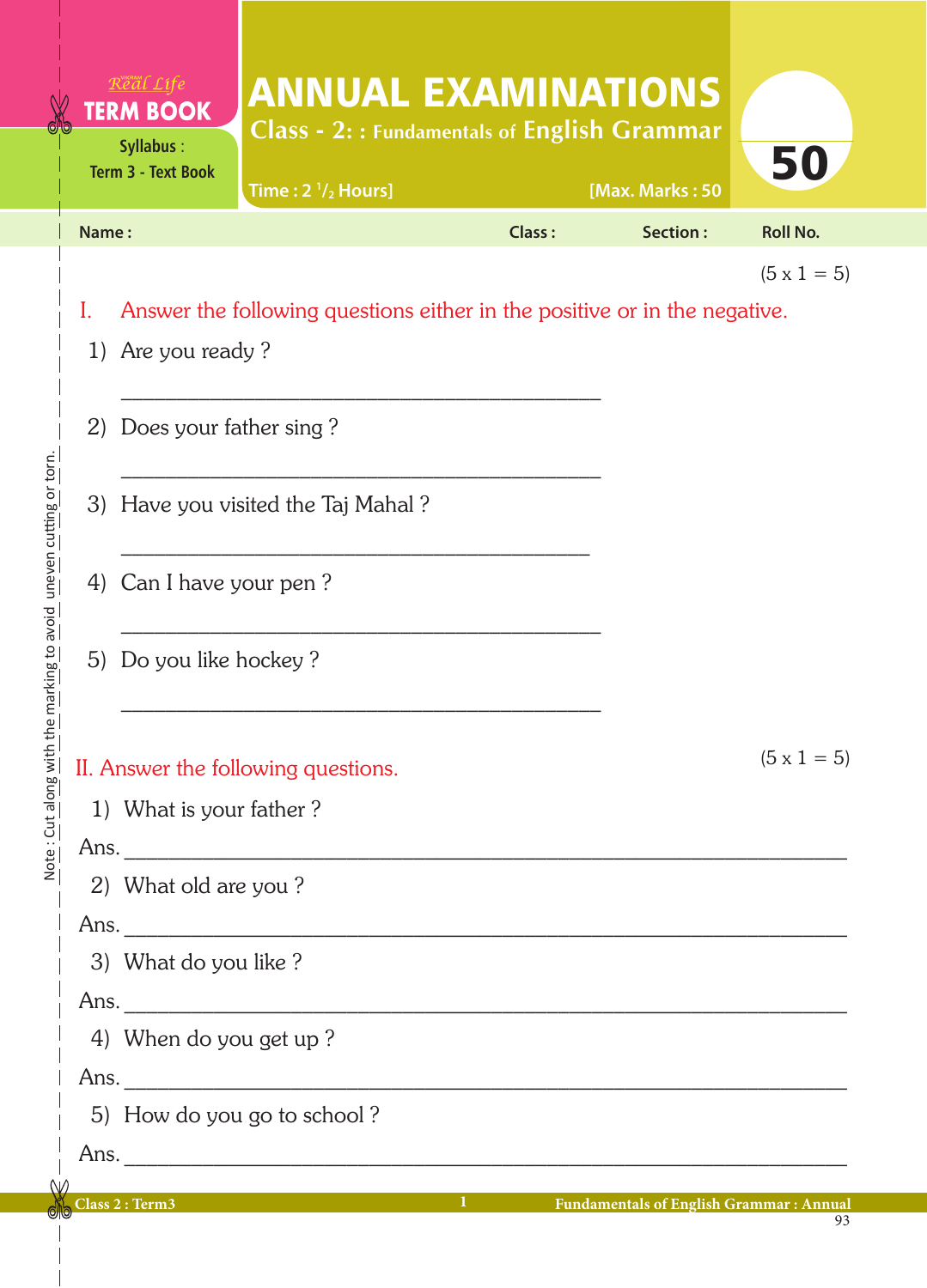| <b>Class:</b><br><b>Roll No.</b><br>Name:<br>Section:<br>$(5 \times 1 = 5)$<br>I.<br>Answer the following questions either in the positive or in the negative.<br>1) Are you ready?<br>2) Does your father sing?<br>3) Have you visited the Taj Mahal?<br>4) Can I have your pen?<br>5) Do you like hockey?<br>$(5 \times 1 = 5)$<br>II. Answer the following questions.<br>1) What is your father?<br>2) What old are you?<br>3) What do you like?<br>Ans.<br>4) When do you get up?<br>Ans.<br>5) How do you go to school?<br>Class 2 : Term3<br>$\mathbf{1}$ and $\mathbf{1}$ and $\mathbf{1}$ and $\mathbf{1}$<br><b>Fundamentals of English Grammar: Annual</b> |  | $R^{\text{WERAM}}$ $L$ <i>ife</i><br><b>TERM BOOK</b><br>Syllabus:<br><b>Term 3 - Text Book</b> | <b>ANNUAL EXAMINATIONS</b><br><b>Class - 2:: Fundamentals of English Grammar</b><br>Time: $2\frac{1}{2}$ Hours] |  | [Max. Marks: 50 | 50 |
|----------------------------------------------------------------------------------------------------------------------------------------------------------------------------------------------------------------------------------------------------------------------------------------------------------------------------------------------------------------------------------------------------------------------------------------------------------------------------------------------------------------------------------------------------------------------------------------------------------------------------------------------------------------------|--|-------------------------------------------------------------------------------------------------|-----------------------------------------------------------------------------------------------------------------|--|-----------------|----|
|                                                                                                                                                                                                                                                                                                                                                                                                                                                                                                                                                                                                                                                                      |  |                                                                                                 |                                                                                                                 |  |                 |    |
|                                                                                                                                                                                                                                                                                                                                                                                                                                                                                                                                                                                                                                                                      |  |                                                                                                 |                                                                                                                 |  |                 |    |
|                                                                                                                                                                                                                                                                                                                                                                                                                                                                                                                                                                                                                                                                      |  |                                                                                                 |                                                                                                                 |  |                 |    |
|                                                                                                                                                                                                                                                                                                                                                                                                                                                                                                                                                                                                                                                                      |  |                                                                                                 |                                                                                                                 |  |                 |    |
|                                                                                                                                                                                                                                                                                                                                                                                                                                                                                                                                                                                                                                                                      |  |                                                                                                 |                                                                                                                 |  |                 |    |
|                                                                                                                                                                                                                                                                                                                                                                                                                                                                                                                                                                                                                                                                      |  |                                                                                                 |                                                                                                                 |  |                 |    |
|                                                                                                                                                                                                                                                                                                                                                                                                                                                                                                                                                                                                                                                                      |  |                                                                                                 |                                                                                                                 |  |                 |    |
|                                                                                                                                                                                                                                                                                                                                                                                                                                                                                                                                                                                                                                                                      |  |                                                                                                 |                                                                                                                 |  |                 |    |
|                                                                                                                                                                                                                                                                                                                                                                                                                                                                                                                                                                                                                                                                      |  |                                                                                                 |                                                                                                                 |  |                 |    |
|                                                                                                                                                                                                                                                                                                                                                                                                                                                                                                                                                                                                                                                                      |  |                                                                                                 |                                                                                                                 |  |                 |    |
|                                                                                                                                                                                                                                                                                                                                                                                                                                                                                                                                                                                                                                                                      |  |                                                                                                 |                                                                                                                 |  |                 |    |
|                                                                                                                                                                                                                                                                                                                                                                                                                                                                                                                                                                                                                                                                      |  |                                                                                                 |                                                                                                                 |  |                 |    |
|                                                                                                                                                                                                                                                                                                                                                                                                                                                                                                                                                                                                                                                                      |  |                                                                                                 |                                                                                                                 |  |                 |    |
|                                                                                                                                                                                                                                                                                                                                                                                                                                                                                                                                                                                                                                                                      |  |                                                                                                 |                                                                                                                 |  |                 |    |
|                                                                                                                                                                                                                                                                                                                                                                                                                                                                                                                                                                                                                                                                      |  |                                                                                                 |                                                                                                                 |  |                 |    |
|                                                                                                                                                                                                                                                                                                                                                                                                                                                                                                                                                                                                                                                                      |  |                                                                                                 |                                                                                                                 |  |                 |    |
|                                                                                                                                                                                                                                                                                                                                                                                                                                                                                                                                                                                                                                                                      |  |                                                                                                 |                                                                                                                 |  |                 |    |
|                                                                                                                                                                                                                                                                                                                                                                                                                                                                                                                                                                                                                                                                      |  |                                                                                                 |                                                                                                                 |  |                 |    |
|                                                                                                                                                                                                                                                                                                                                                                                                                                                                                                                                                                                                                                                                      |  |                                                                                                 |                                                                                                                 |  |                 |    |
|                                                                                                                                                                                                                                                                                                                                                                                                                                                                                                                                                                                                                                                                      |  |                                                                                                 |                                                                                                                 |  |                 |    |
|                                                                                                                                                                                                                                                                                                                                                                                                                                                                                                                                                                                                                                                                      |  |                                                                                                 |                                                                                                                 |  |                 |    |
|                                                                                                                                                                                                                                                                                                                                                                                                                                                                                                                                                                                                                                                                      |  |                                                                                                 |                                                                                                                 |  |                 |    |
|                                                                                                                                                                                                                                                                                                                                                                                                                                                                                                                                                                                                                                                                      |  |                                                                                                 |                                                                                                                 |  |                 |    |
|                                                                                                                                                                                                                                                                                                                                                                                                                                                                                                                                                                                                                                                                      |  |                                                                                                 |                                                                                                                 |  |                 |    |

93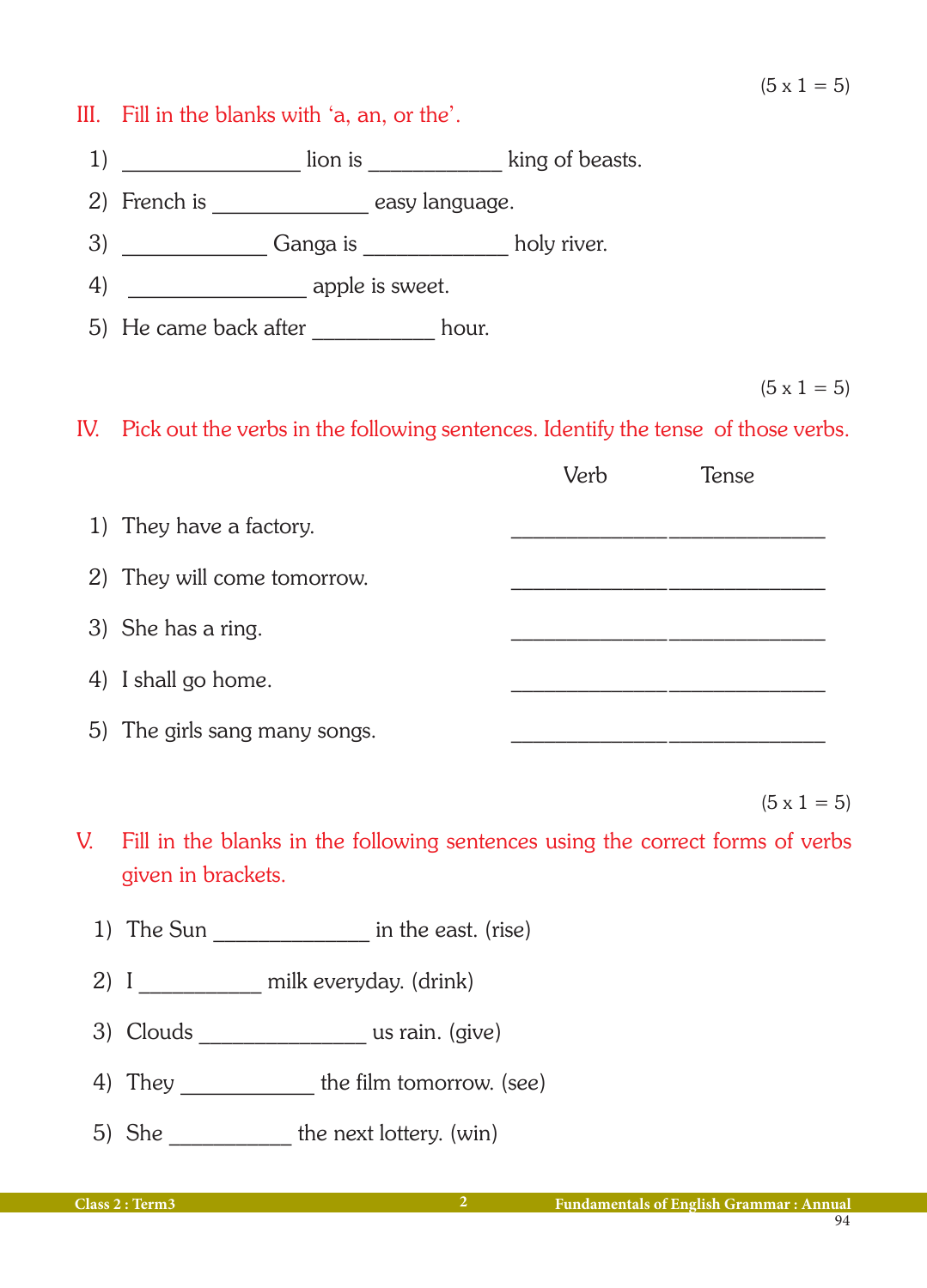#### III. Fill in the blanks with 'a, an, or the'.

- 1) \_\_\_\_\_\_\_\_\_\_\_\_\_\_\_\_\_\_\_\_\_\_ lion is \_\_\_\_\_\_\_\_\_\_\_\_\_\_\_\_\_\_\_ king of beasts.
- 2) French is \_\_\_\_\_\_\_\_\_\_\_\_\_\_\_\_ easy language.
- 3) **Ganga is holy river.**
- 4) \_\_\_\_\_\_\_\_\_\_\_\_\_\_\_\_ apple is sweet.
- 5) He came back after \_\_\_\_\_\_\_\_\_\_\_ hour.

 $(5 \times 1 = 5)$ 

### IV. Pick out the verbs in the following sentences. Identify the tense of those verbs.

|                               | Verb | Tense |  |
|-------------------------------|------|-------|--|
| 1) They have a factory.       |      |       |  |
| 2) They will come tomorrow.   |      |       |  |
| 3) She has a ring.            |      |       |  |
| 4) I shall go home.           |      |       |  |
| 5) The girls sang many songs. |      |       |  |

 $(5 \times 1 = 5)$ 

- V. Fill in the blanks in the following sentences using the correct forms of verbs given in brackets.
	- 1) The Sun in the east. (rise)
	- 2) I \_\_\_\_\_\_\_\_\_\_\_\_ milk everyday. (drink)
	- 3) Clouds \_\_\_\_\_\_\_\_\_\_\_\_\_\_\_ us rain. (give)
	- 4) They \_\_\_\_\_\_\_\_\_\_\_\_ the film tomorrow. (see)
	- 5) She \_\_\_\_\_\_\_\_\_\_\_\_ the next lottery. (win)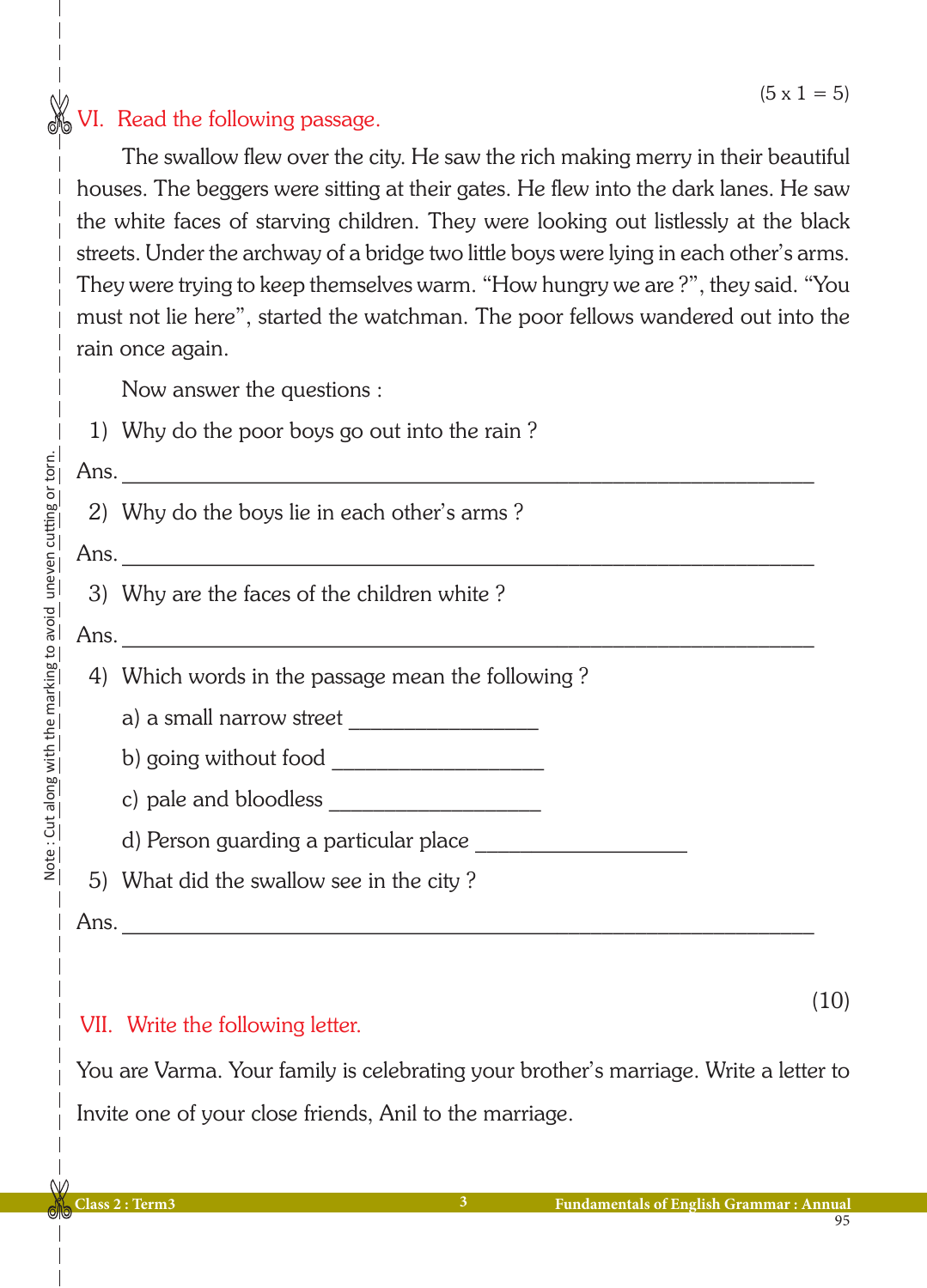### $\mathbb X$  VI. Read the following passage.

 The swallow flew over the city. He saw the rich making merry in their beautiful houses. The beggers were sitting at their gates. He flew into the dark lanes. He saw the white faces of starving children. They were looking out listlessly at the black streets. Under the archway of a bridge two little boys were lying in each other's arms. They were trying to keep themselves warm. "How hungry we are ?", they said. "You must not lie here", started the watchman. The poor fellows wandered out into the rain once again.

Now answer the questions :

1) Why do the poor boys go out into the rain ?

## $Ans.$ 2) Why do the boys lie in each other's arms ? Ans. \_\_\_\_\_\_\_\_\_\_\_\_\_\_\_\_\_\_\_\_\_\_\_\_\_\_\_\_\_\_\_\_\_\_\_\_\_\_\_\_\_\_\_\_\_\_\_\_\_\_\_\_\_\_\_\_\_\_\_\_\_\_ 3) Why are the faces of the children white ? Ans. \_\_\_\_\_\_\_\_\_\_\_\_\_\_\_\_\_\_\_\_\_\_\_\_\_\_\_\_\_\_\_\_\_\_\_\_\_\_\_\_\_\_\_\_\_\_\_\_\_\_\_\_\_\_\_\_\_\_\_\_\_\_

4) Which words in the passage mean the following ?

a) a small narrow street  $\frac{1}{2}$ 

b) going without food \_\_\_\_\_\_\_\_\_\_\_\_\_\_\_\_\_\_\_

c) pale and bloodless \_\_\_\_\_\_\_\_\_\_\_\_\_\_\_\_\_\_\_

d) Person guarding a particular place

5) What did the swallow see in the city ?

 $Ans.$ 

### VII. Write the following letter.

You are Varma. Your family is celebrating your brother's marriage. Write a letter to Invite one of your close friends, Anil to the marriage.

(10)